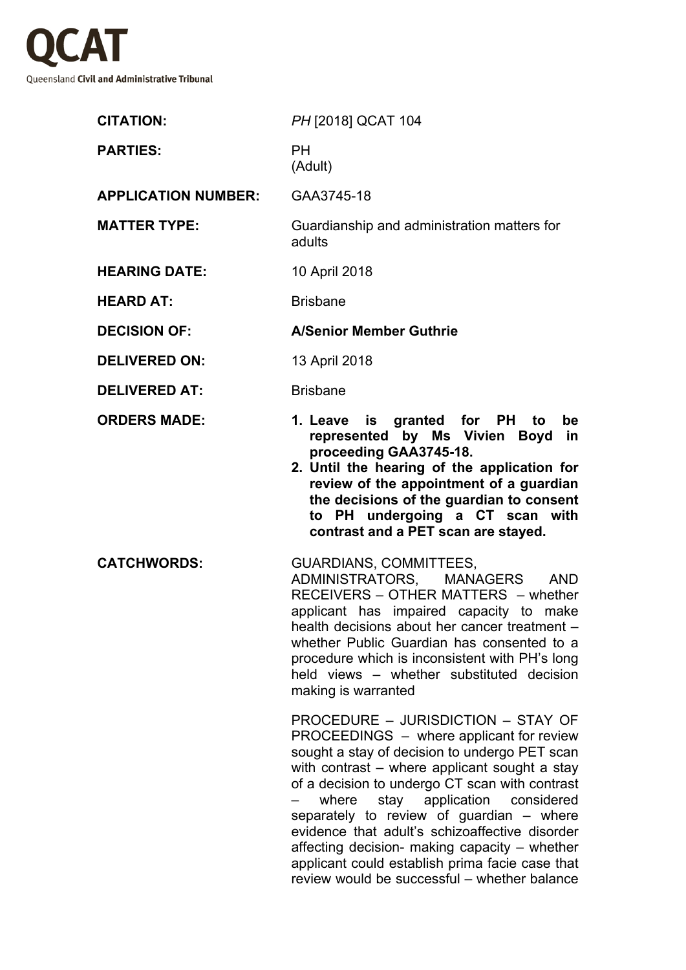

| <b>CITATION:</b>           | PH [2018] QCAT 104                                                                                                                                                                                                                                                                                                                                                                                                                                                                     |
|----------------------------|----------------------------------------------------------------------------------------------------------------------------------------------------------------------------------------------------------------------------------------------------------------------------------------------------------------------------------------------------------------------------------------------------------------------------------------------------------------------------------------|
| <b>PARTIES:</b>            | <b>PH</b><br>(Adult)                                                                                                                                                                                                                                                                                                                                                                                                                                                                   |
| <b>APPLICATION NUMBER:</b> | GAA3745-18                                                                                                                                                                                                                                                                                                                                                                                                                                                                             |
| <b>MATTER TYPE:</b>        | Guardianship and administration matters for<br>adults                                                                                                                                                                                                                                                                                                                                                                                                                                  |
| <b>HEARING DATE:</b>       | 10 April 2018                                                                                                                                                                                                                                                                                                                                                                                                                                                                          |
| <b>HEARD AT:</b>           | <b>Brisbane</b>                                                                                                                                                                                                                                                                                                                                                                                                                                                                        |
| <b>DECISION OF:</b>        | <b>A/Senior Member Guthrie</b>                                                                                                                                                                                                                                                                                                                                                                                                                                                         |
| <b>DELIVERED ON:</b>       | 13 April 2018                                                                                                                                                                                                                                                                                                                                                                                                                                                                          |
| <b>DELIVERED AT:</b>       | <b>Brisbane</b>                                                                                                                                                                                                                                                                                                                                                                                                                                                                        |
| <b>ORDERS MADE:</b>        | 1. Leave is granted for PH to<br>be<br>represented by Ms Vivien Boyd<br>in<br>proceeding GAA3745-18.<br>2. Until the hearing of the application for<br>review of the appointment of a guardian<br>the decisions of the guardian to consent<br>to PH undergoing a CT scan with<br>contrast and a PET scan are stayed.                                                                                                                                                                   |
| <b>CATCHWORDS:</b>         | <b>GUARDIANS, COMMITTEES,</b><br>ADMINISTRATORS, MANAGERS AND<br>RECEIVERS - OTHER MATTERS - whether<br>applicant has impaired capacity to make<br>health decisions about her cancer treatment -<br>whether Public Guardian has consented to a<br>procedure which is inconsistent with PH's long<br>held views - whether substituted decision<br>making is warranted<br>PROCEDURE - JURISDICTION - STAY OF                                                                             |
|                            | PROCEEDINGS – where applicant for review<br>sought a stay of decision to undergo PET scan<br>with contrast – where applicant sought a stay<br>of a decision to undergo CT scan with contrast<br>stay application considered<br>where<br>separately to review of guardian - where<br>evidence that adult's schizoaffective disorder<br>affecting decision- making capacity - whether<br>applicant could establish prima facie case that<br>review would be successful - whether balance |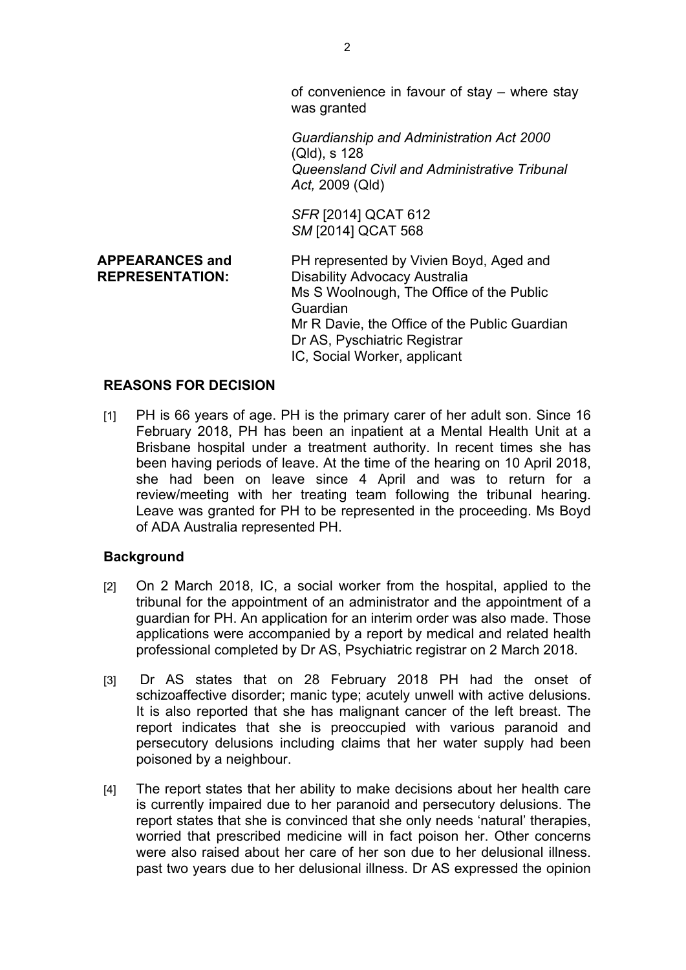of convenience in favour of stay – where stay was granted

*Guardianship and Administration Act 2000* (Qld), s 128 *Queensland Civil and Administrative Tribunal Act,* 2009 (Qld)

*SFR* [2014] QCAT 612 *SM* [2014] QCAT 568

**APPEARANCES and REPRESENTATION:** PH represented by Vivien Boyd, Aged and Disability Advocacy Australia Ms S Woolnough, The Office of the Public Guardian Mr R Davie, the Office of the Public Guardian Dr AS, Pyschiatric Registrar IC, Social Worker, applicant

### **REASONS FOR DECISION**

[1] PH is 66 years of age. PH is the primary carer of her adult son. Since 16 February 2018, PH has been an inpatient at a Mental Health Unit at a Brisbane hospital under a treatment authority. In recent times she has been having periods of leave. At the time of the hearing on 10 April 2018, she had been on leave since 4 April and was to return for a review/meeting with her treating team following the tribunal hearing. Leave was granted for PH to be represented in the proceeding. Ms Boyd of ADA Australia represented PH.

#### **Background**

- [2] On 2 March 2018, IC, a social worker from the hospital, applied to the tribunal for the appointment of an administrator and the appointment of a guardian for PH. An application for an interim order was also made. Those applications were accompanied by a report by medical and related health professional completed by Dr AS, Psychiatric registrar on 2 March 2018.
- [3] Dr AS states that on 28 February 2018 PH had the onset of schizoaffective disorder; manic type; acutely unwell with active delusions. It is also reported that she has malignant cancer of the left breast. The report indicates that she is preoccupied with various paranoid and persecutory delusions including claims that her water supply had been poisoned by a neighbour.
- [4] The report states that her ability to make decisions about her health care is currently impaired due to her paranoid and persecutory delusions. The report states that she is convinced that she only needs 'natural' therapies, worried that prescribed medicine will in fact poison her. Other concerns were also raised about her care of her son due to her delusional illness. past two years due to her delusional illness. Dr AS expressed the opinion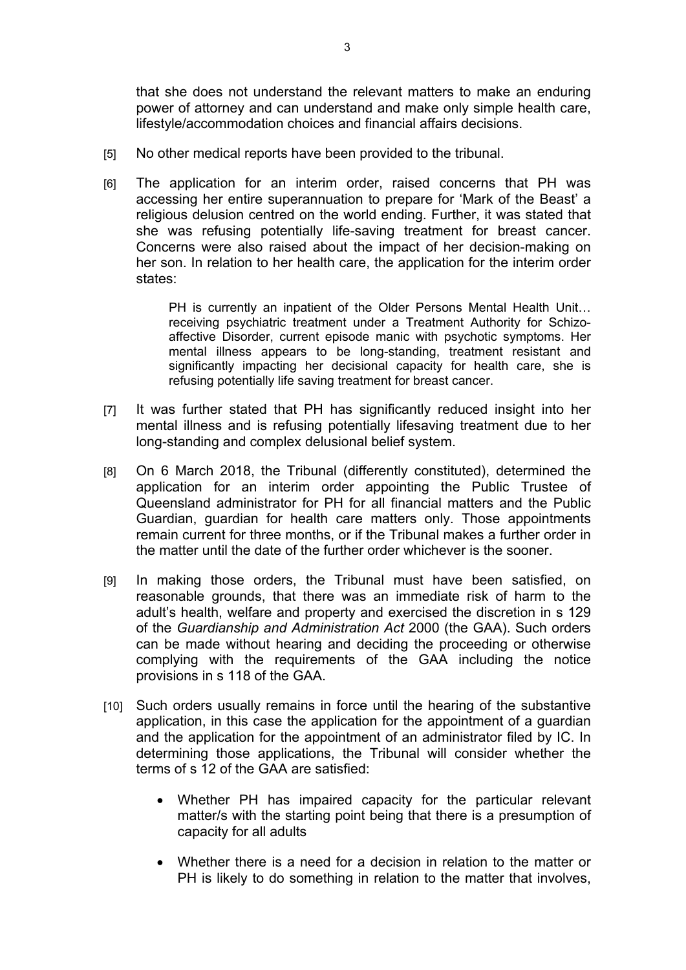that she does not understand the relevant matters to make an enduring power of attorney and can understand and make only simple health care, lifestyle/accommodation choices and financial affairs decisions.

- [5] No other medical reports have been provided to the tribunal.
- [6] The application for an interim order, raised concerns that PH was accessing her entire superannuation to prepare for 'Mark of the Beast' a religious delusion centred on the world ending. Further, it was stated that she was refusing potentially life-saving treatment for breast cancer. Concerns were also raised about the impact of her decision-making on her son. In relation to her health care, the application for the interim order states:

PH is currently an inpatient of the Older Persons Mental Health Unit… receiving psychiatric treatment under a Treatment Authority for Schizoaffective Disorder, current episode manic with psychotic symptoms. Her mental illness appears to be long-standing, treatment resistant and significantly impacting her decisional capacity for health care, she is refusing potentially life saving treatment for breast cancer.

- [7] It was further stated that PH has significantly reduced insight into her mental illness and is refusing potentially lifesaving treatment due to her long-standing and complex delusional belief system.
- [8] On 6 March 2018, the Tribunal (differently constituted), determined the application for an interim order appointing the Public Trustee of Queensland administrator for PH for all financial matters and the Public Guardian, guardian for health care matters only. Those appointments remain current for three months, or if the Tribunal makes a further order in the matter until the date of the further order whichever is the sooner.
- [9] In making those orders, the Tribunal must have been satisfied, on reasonable grounds, that there was an immediate risk of harm to the adult's health, welfare and property and exercised the discretion in s 129 of the *Guardianship and Administration Act* 2000 (the GAA). Such orders can be made without hearing and deciding the proceeding or otherwise complying with the requirements of the GAA including the notice provisions in s 118 of the GAA.
- [10] Such orders usually remains in force until the hearing of the substantive application, in this case the application for the appointment of a guardian and the application for the appointment of an administrator filed by IC. In determining those applications, the Tribunal will consider whether the terms of s 12 of the GAA are satisfied:
	- Whether PH has impaired capacity for the particular relevant matter/s with the starting point being that there is a presumption of capacity for all adults
	- Whether there is a need for a decision in relation to the matter or PH is likely to do something in relation to the matter that involves,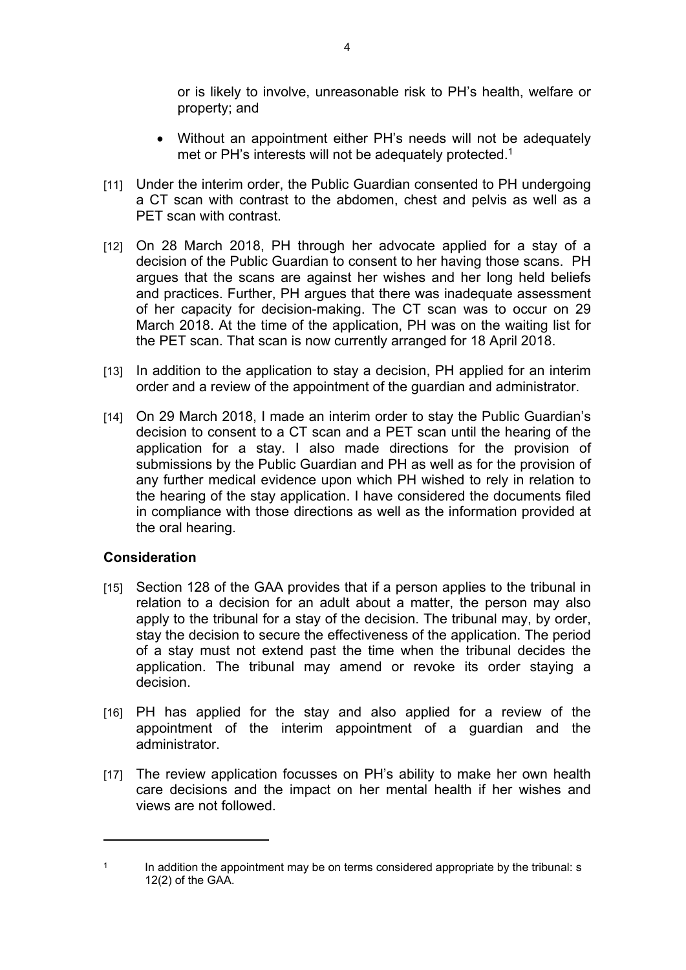or is likely to involve, unreasonable risk to PH's health, welfare or property; and

- Without an appointment either PH's needs will not be adequately met or PH's interests will not be adequately protected.<sup>1</sup>
- [11] Under the interim order, the Public Guardian consented to PH undergoing a CT scan with contrast to the abdomen, chest and pelvis as well as a PET scan with contrast.
- [12] On 28 March 2018, PH through her advocate applied for a stay of a decision of the Public Guardian to consent to her having those scans. PH argues that the scans are against her wishes and her long held beliefs and practices. Further, PH argues that there was inadequate assessment of her capacity for decision-making. The CT scan was to occur on 29 March 2018. At the time of the application, PH was on the waiting list for the PET scan. That scan is now currently arranged for 18 April 2018.
- [13] In addition to the application to stay a decision, PH applied for an interim order and a review of the appointment of the guardian and administrator.
- [14] On 29 March 2018, I made an interim order to stay the Public Guardian's decision to consent to a CT scan and a PET scan until the hearing of the application for a stay. I also made directions for the provision of submissions by the Public Guardian and PH as well as for the provision of any further medical evidence upon which PH wished to rely in relation to the hearing of the stay application. I have considered the documents filed in compliance with those directions as well as the information provided at the oral hearing.

# **Consideration**

- [15] Section 128 of the GAA provides that if a person applies to the tribunal in relation to a decision for an adult about a matter, the person may also apply to the tribunal for a stay of the decision. The tribunal may, by order, stay the decision to secure the effectiveness of the application. The period of a stay must not extend past the time when the tribunal decides the application. The tribunal may amend or revoke its order staying a decision.
- [16] PH has applied for the stay and also applied for a review of the appointment of the interim appointment of a guardian and the administrator.
- [17] The review application focusses on PH's ability to make her own health care decisions and the impact on her mental health if her wishes and views are not followed.

<sup>1</sup> In addition the appointment may be on terms considered appropriate by the tribunal: s 12(2) of the GAA.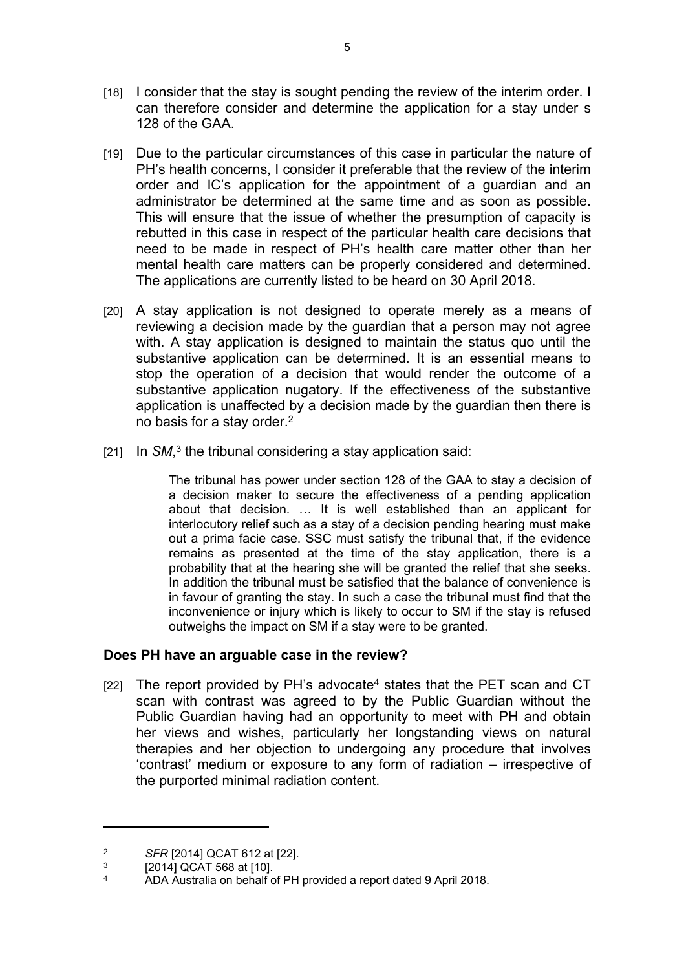- [18] I consider that the stay is sought pending the review of the interim order. I can therefore consider and determine the application for a stay under s 128 of the GAA.
- [19] Due to the particular circumstances of this case in particular the nature of PH's health concerns, I consider it preferable that the review of the interim order and IC's application for the appointment of a guardian and an administrator be determined at the same time and as soon as possible. This will ensure that the issue of whether the presumption of capacity is rebutted in this case in respect of the particular health care decisions that need to be made in respect of PH's health care matter other than her mental health care matters can be properly considered and determined. The applications are currently listed to be heard on 30 April 2018.
- [20] A stay application is not designed to operate merely as a means of reviewing a decision made by the guardian that a person may not agree with. A stay application is designed to maintain the status quo until the substantive application can be determined. It is an essential means to stop the operation of a decision that would render the outcome of a substantive application nugatory. If the effectiveness of the substantive application is unaffected by a decision made by the guardian then there is no basis for a stay order.<sup>2</sup>
- [21] In SM,<sup>3</sup> the tribunal considering a stay application said:

The tribunal has power under section 128 of the GAA to stay a decision of a decision maker to secure the effectiveness of a pending application about that decision. … It is well established than an applicant for interlocutory relief such as a stay of a decision pending hearing must make out a prima facie case. SSC must satisfy the tribunal that, if the evidence remains as presented at the time of the stay application, there is a probability that at the hearing she will be granted the relief that she seeks. In addition the tribunal must be satisfied that the balance of convenience is in favour of granting the stay. In such a case the tribunal must find that the inconvenience or injury which is likely to occur to SM if the stay is refused outweighs the impact on SM if a stay were to be granted.

# **Does PH have an arguable case in the review?**

[22] The report provided by PH's advocate<sup>4</sup> states that the PET scan and CT scan with contrast was agreed to by the Public Guardian without the Public Guardian having had an opportunity to meet with PH and obtain her views and wishes, particularly her longstanding views on natural therapies and her objection to undergoing any procedure that involves 'contrast' medium or exposure to any form of radiation – irrespective of the purported minimal radiation content.

<sup>2</sup> *SFR* [2014] QCAT 612 at [22].

<sup>3</sup> [2014] QCAT 568 at [10].

<sup>4</sup> ADA Australia on behalf of PH provided a report dated 9 April 2018.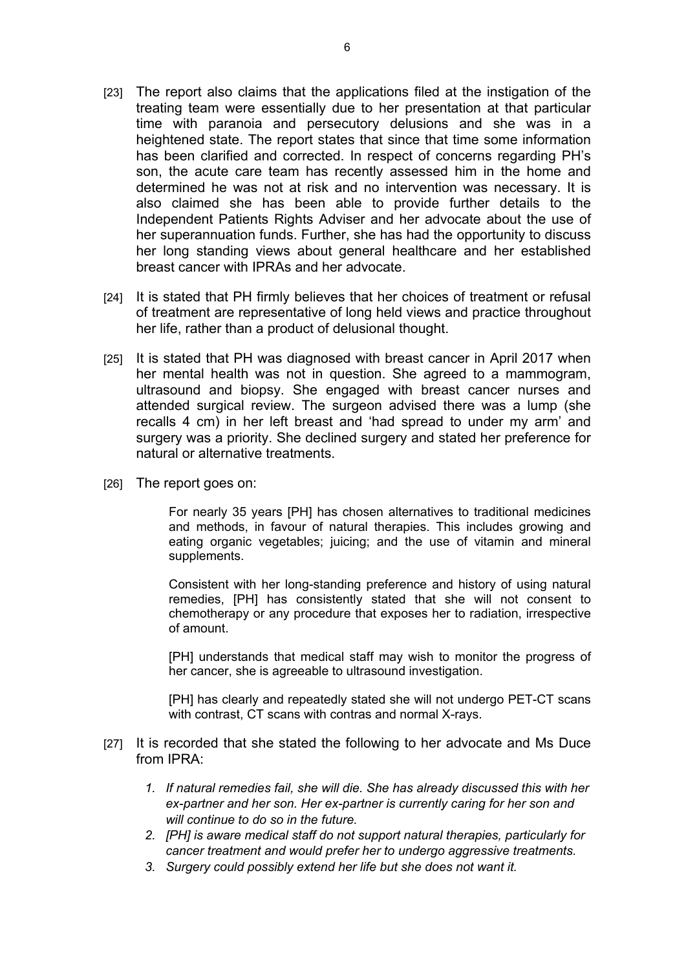- [23] The report also claims that the applications filed at the instigation of the treating team were essentially due to her presentation at that particular time with paranoia and persecutory delusions and she was in a heightened state. The report states that since that time some information has been clarified and corrected. In respect of concerns regarding PH's son, the acute care team has recently assessed him in the home and determined he was not at risk and no intervention was necessary. It is also claimed she has been able to provide further details to the Independent Patients Rights Adviser and her advocate about the use of her superannuation funds. Further, she has had the opportunity to discuss her long standing views about general healthcare and her established breast cancer with IPRAs and her advocate.
- [24] It is stated that PH firmly believes that her choices of treatment or refusal of treatment are representative of long held views and practice throughout her life, rather than a product of delusional thought.
- [25] It is stated that PH was diagnosed with breast cancer in April 2017 when her mental health was not in question. She agreed to a mammogram, ultrasound and biopsy. She engaged with breast cancer nurses and attended surgical review. The surgeon advised there was a lump (she recalls 4 cm) in her left breast and 'had spread to under my arm' and surgery was a priority. She declined surgery and stated her preference for natural or alternative treatments.
- [26] The report goes on:

For nearly 35 years [PH] has chosen alternatives to traditional medicines and methods, in favour of natural therapies. This includes growing and eating organic vegetables; juicing; and the use of vitamin and mineral supplements.

Consistent with her long-standing preference and history of using natural remedies, [PH] has consistently stated that she will not consent to chemotherapy or any procedure that exposes her to radiation, irrespective of amount.

[PH] understands that medical staff may wish to monitor the progress of her cancer, she is agreeable to ultrasound investigation.

[PH] has clearly and repeatedly stated she will not undergo PET-CT scans with contrast, CT scans with contras and normal X-rays.

- [27] It is recorded that she stated the following to her advocate and Ms Duce from IPRA:
	- *1. If natural remedies fail, she will die. She has already discussed this with her ex-partner and her son. Her ex-partner is currently caring for her son and will continue to do so in the future.*
	- *2. [PH] is aware medical staff do not support natural therapies, particularly for cancer treatment and would prefer her to undergo aggressive treatments.*
	- *3. Surgery could possibly extend her life but she does not want it.*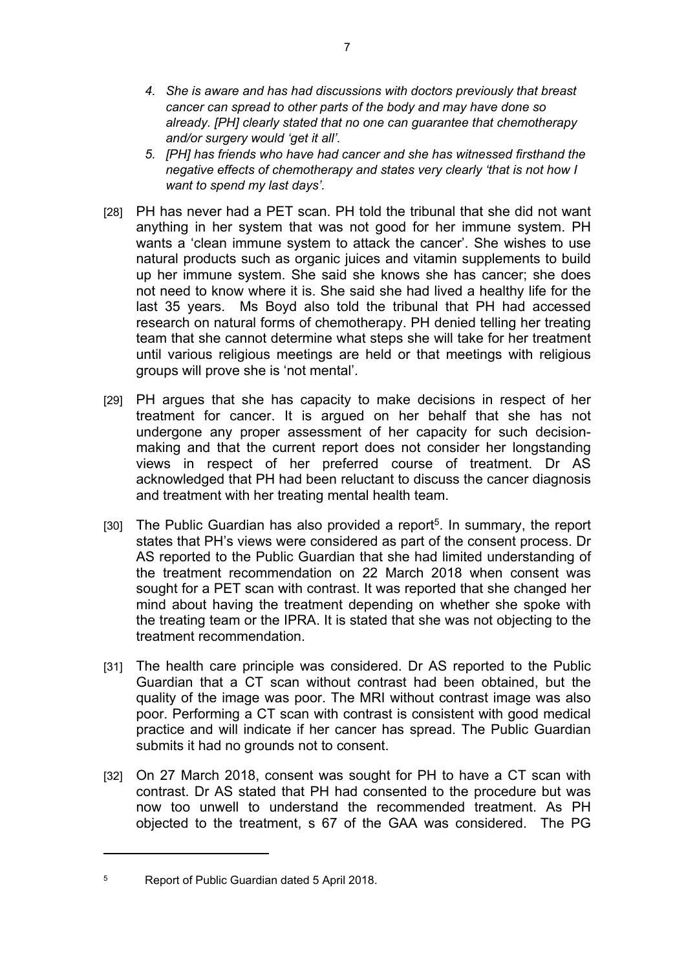- *4. She is aware and has had discussions with doctors previously that breast cancer can spread to other parts of the body and may have done so already. [PH] clearly stated that no one can guarantee that chemotherapy and/or surgery would 'get it all'.*
- *5. [PH] has friends who have had cancer and she has witnessed firsthand the negative effects of chemotherapy and states very clearly 'that is not how I want to spend my last days'.*
- [28] PH has never had a PET scan. PH told the tribunal that she did not want anything in her system that was not good for her immune system. PH wants a 'clean immune system to attack the cancer'. She wishes to use natural products such as organic juices and vitamin supplements to build up her immune system. She said she knows she has cancer; she does not need to know where it is. She said she had lived a healthy life for the last 35 years. Ms Boyd also told the tribunal that PH had accessed research on natural forms of chemotherapy. PH denied telling her treating team that she cannot determine what steps she will take for her treatment until various religious meetings are held or that meetings with religious groups will prove she is 'not mental'.
- [29] PH argues that she has capacity to make decisions in respect of her treatment for cancer. It is argued on her behalf that she has not undergone any proper assessment of her capacity for such decisionmaking and that the current report does not consider her longstanding views in respect of her preferred course of treatment. Dr AS acknowledged that PH had been reluctant to discuss the cancer diagnosis and treatment with her treating mental health team.
- [30] The Public Guardian has also provided a report<sup>5</sup>. In summary, the report states that PH's views were considered as part of the consent process. Dr AS reported to the Public Guardian that she had limited understanding of the treatment recommendation on 22 March 2018 when consent was sought for a PET scan with contrast. It was reported that she changed her mind about having the treatment depending on whether she spoke with the treating team or the IPRA. It is stated that she was not objecting to the treatment recommendation.
- [31] The health care principle was considered. Dr AS reported to the Public Guardian that a CT scan without contrast had been obtained, but the quality of the image was poor. The MRI without contrast image was also poor. Performing a CT scan with contrast is consistent with good medical practice and will indicate if her cancer has spread. The Public Guardian submits it had no grounds not to consent.
- [32] On 27 March 2018, consent was sought for PH to have a CT scan with contrast. Dr AS stated that PH had consented to the procedure but was now too unwell to understand the recommended treatment. As PH objected to the treatment, s 67 of the GAA was considered. The PG

<sup>5</sup> Report of Public Guardian dated 5 April 2018.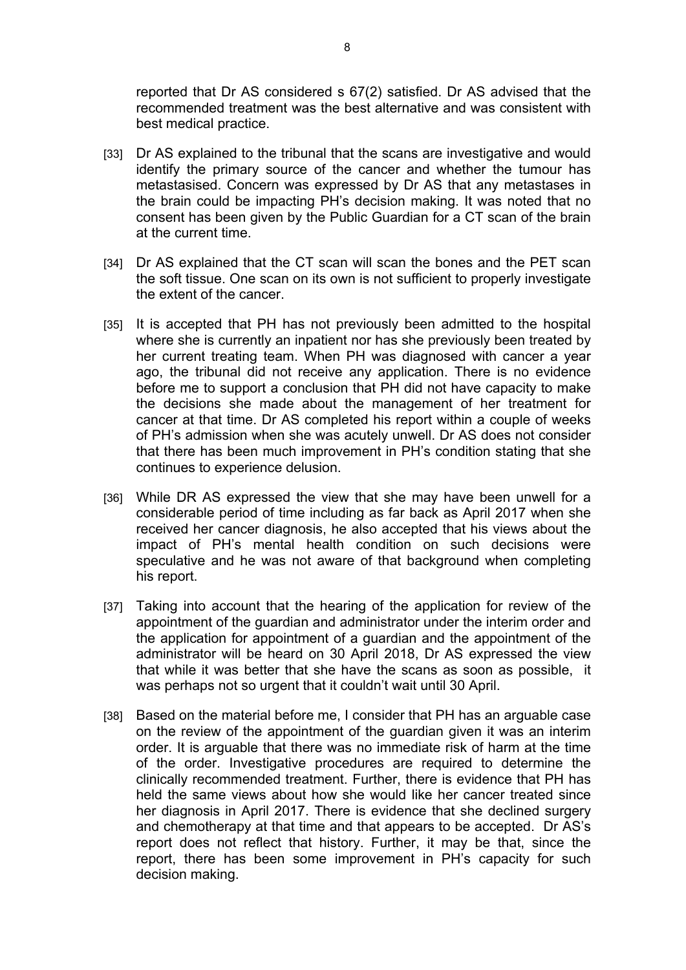reported that Dr AS considered s 67(2) satisfied. Dr AS advised that the recommended treatment was the best alternative and was consistent with best medical practice.

- [33] Dr AS explained to the tribunal that the scans are investigative and would identify the primary source of the cancer and whether the tumour has metastasised. Concern was expressed by Dr AS that any metastases in the brain could be impacting PH's decision making. It was noted that no consent has been given by the Public Guardian for a CT scan of the brain at the current time.
- [34] Dr AS explained that the CT scan will scan the bones and the PET scan the soft tissue. One scan on its own is not sufficient to properly investigate the extent of the cancer.
- [35] It is accepted that PH has not previously been admitted to the hospital where she is currently an inpatient nor has she previously been treated by her current treating team. When PH was diagnosed with cancer a year ago, the tribunal did not receive any application. There is no evidence before me to support a conclusion that PH did not have capacity to make the decisions she made about the management of her treatment for cancer at that time. Dr AS completed his report within a couple of weeks of PH's admission when she was acutely unwell. Dr AS does not consider that there has been much improvement in PH's condition stating that she continues to experience delusion.
- [36] While DR AS expressed the view that she may have been unwell for a considerable period of time including as far back as April 2017 when she received her cancer diagnosis, he also accepted that his views about the impact of PH's mental health condition on such decisions were speculative and he was not aware of that background when completing his report.
- [37] Taking into account that the hearing of the application for review of the appointment of the guardian and administrator under the interim order and the application for appointment of a guardian and the appointment of the administrator will be heard on 30 April 2018, Dr AS expressed the view that while it was better that she have the scans as soon as possible, it was perhaps not so urgent that it couldn't wait until 30 April.
- [38] Based on the material before me, I consider that PH has an arguable case on the review of the appointment of the guardian given it was an interim order. It is arguable that there was no immediate risk of harm at the time of the order. Investigative procedures are required to determine the clinically recommended treatment. Further, there is evidence that PH has held the same views about how she would like her cancer treated since her diagnosis in April 2017. There is evidence that she declined surgery and chemotherapy at that time and that appears to be accepted. Dr AS's report does not reflect that history. Further, it may be that, since the report, there has been some improvement in PH's capacity for such decision making.